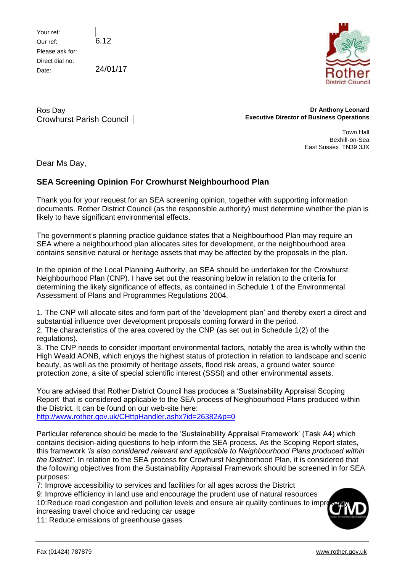Your ref: Our ref: Please ask for: Direct dial no: Date:

6.12

24/01/17



Ros Day Crowhurst Parish Council

**Dr Anthony Leonard Executive Director of Business Operations**

> Town Hall Bexhill-on-Sea East Sussex TN39 3JX

Dear Ms Day,

## **SEA Screening Opinion For Crowhurst Neighbourhood Plan**

Thank you for your request for an SEA screening opinion, together with supporting information documents. Rother District Council (as the responsible authority) must determine whether the plan is likely to have significant environmental effects.

The government's planning practice guidance states that a Neighbourhood Plan may require an SEA where a neighbourhood plan allocates sites for development, or the neighbourhood area contains sensitive natural or heritage assets that may be affected by the proposals in the plan.

In the opinion of the Local Planning Authority, an SEA should be undertaken for the Crowhurst Neighbourhood Plan (CNP). I have set out the reasoning below in relation to the criteria for determining the likely significance of effects, as contained in Schedule 1 of the Environmental Assessment of Plans and Programmes Regulations 2004.

1. The CNP will allocate sites and form part of the 'development plan' and thereby exert a direct and substantial influence over development proposals coming forward in the period.

2. The characteristics of the area covered by the CNP (as set out in Schedule 1(2) of the regulations).

3. The CNP needs to consider important environmental factors, notably the area is wholly within the High Weald AONB, which enjoys the highest status of protection in relation to landscape and scenic beauty, as well as the proximity of heritage assets, flood risk areas, a ground water source protection zone, a site of special scientific interest (SSSI) and other environmental assets.

You are advised that Rother District Council has produces a 'Sustainability Appraisal Scoping Report' that is considered applicable to the SEA process of Neighbourhood Plans produced within the District. It can be found on our web-site here: <http://www.rother.gov.uk/CHttpHandler.ashx?id=26382&p=0>

Particular reference should be made to the 'Sustainability Appraisal Framework' (Task A4) which contains decision-aiding questions to help inform the SEA process. As the Scoping Report states, this framework *'is also considered relevant and applicable to Neighbourhood Plans produced within the District'.* In relation to the SEA process for Crowhurst Neighborhood Plan, it is considered that the following objectives from the Sustainability Appraisal Framework should be screened in for SEA purposes:

7: Improve accessibility to services and facilities for all ages across the District

9: Improve efficiency in land use and encourage the prudent use of natural resources

10: Reduce road congestion and pollution levels and ensure air quality continues to improve increasing travel choice and reducing car usage

11: Reduce emissions of greenhouse gases